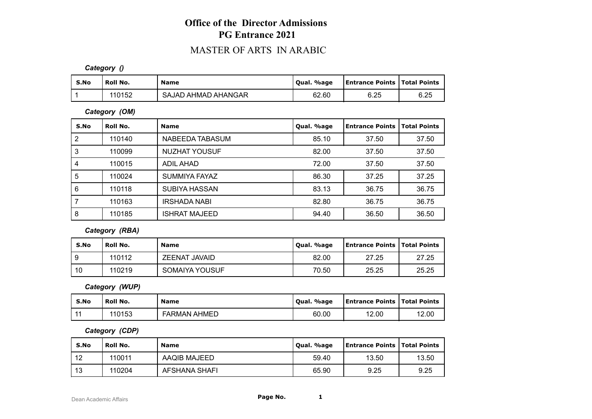## **Office of the Director Admissions PG Entrance 2021**

## MASTER OF ARTS IN ARABIC

*Category ()*

| S.No | Roll No. | <b>Name</b>         | Oual. %age | <b>Entrance Points   Total Points</b> |      |
|------|----------|---------------------|------------|---------------------------------------|------|
|      | 110152   | SAJAD AHMAD AHANGAR | 62.60      | 6.25                                  | 6.25 |

*Category (OM)*

| S.No           | Roll No. | <b>Name</b>          | Qual. %age | <b>Entrance Points</b> | <b>Total Points</b> |
|----------------|----------|----------------------|------------|------------------------|---------------------|
| $\overline{2}$ | 110140   | NABEEDA TABASUM      | 85.10      | 37.50                  | 37.50               |
| 3              | 110099   | <b>NUZHAT YOUSUF</b> | 82.00      | 37.50                  | 37.50               |
| 4              | 110015   | ADIL AHAD            | 72.00      | 37.50                  | 37.50               |
| 5              | 110024   | SUMMIYA FAYAZ        | 86.30      | 37.25                  | 37.25               |
| 6              | 110118   | SUBIYA HASSAN        | 83.13      | 36.75                  | 36.75               |
|                | 110163   | IRSHADA NABI         | 82.80      | 36.75                  | 36.75               |
| 8              | 110185   | <b>ISHRAT MAJEED</b> | 94.40      | 36.50                  | 36.50               |

*Category (RBA)*

| S.No | Roll No. | <b>Name</b>          | Qual. %age | <b>Entrance Points   Total Points</b> |       |
|------|----------|----------------------|------------|---------------------------------------|-------|
|      | 110112   | <b>ZEENAT JAVAID</b> | 82.00      | 27.25                                 | 27.25 |
| 10   | 110219   | SOMAIYA YOUSUF       | 70.50      | 25.25                                 | 25.25 |

*Category (WUP)*

| S.No | Roll No. | <b>Name</b>         | Oual. %age | <b>Entrance Points   Total Points</b> |       |
|------|----------|---------------------|------------|---------------------------------------|-------|
|      | 110153   | <b>FARMAN AHMED</b> | 60.00      | 12.00                                 | 12.00 |

*Category (CDP)*

| S.No | ' Roll No. | <b>Name</b>   | Qual. %age | <b>Entrance Points   Total Points</b> |       |
|------|------------|---------------|------------|---------------------------------------|-------|
| 12   | 110011     | AAQIB MAJEED  | 59.40      | 13.50                                 | 13.50 |
| 13   | 110204     | AFSHANA SHAFI | 65.90      | 9.25                                  | 9.25  |